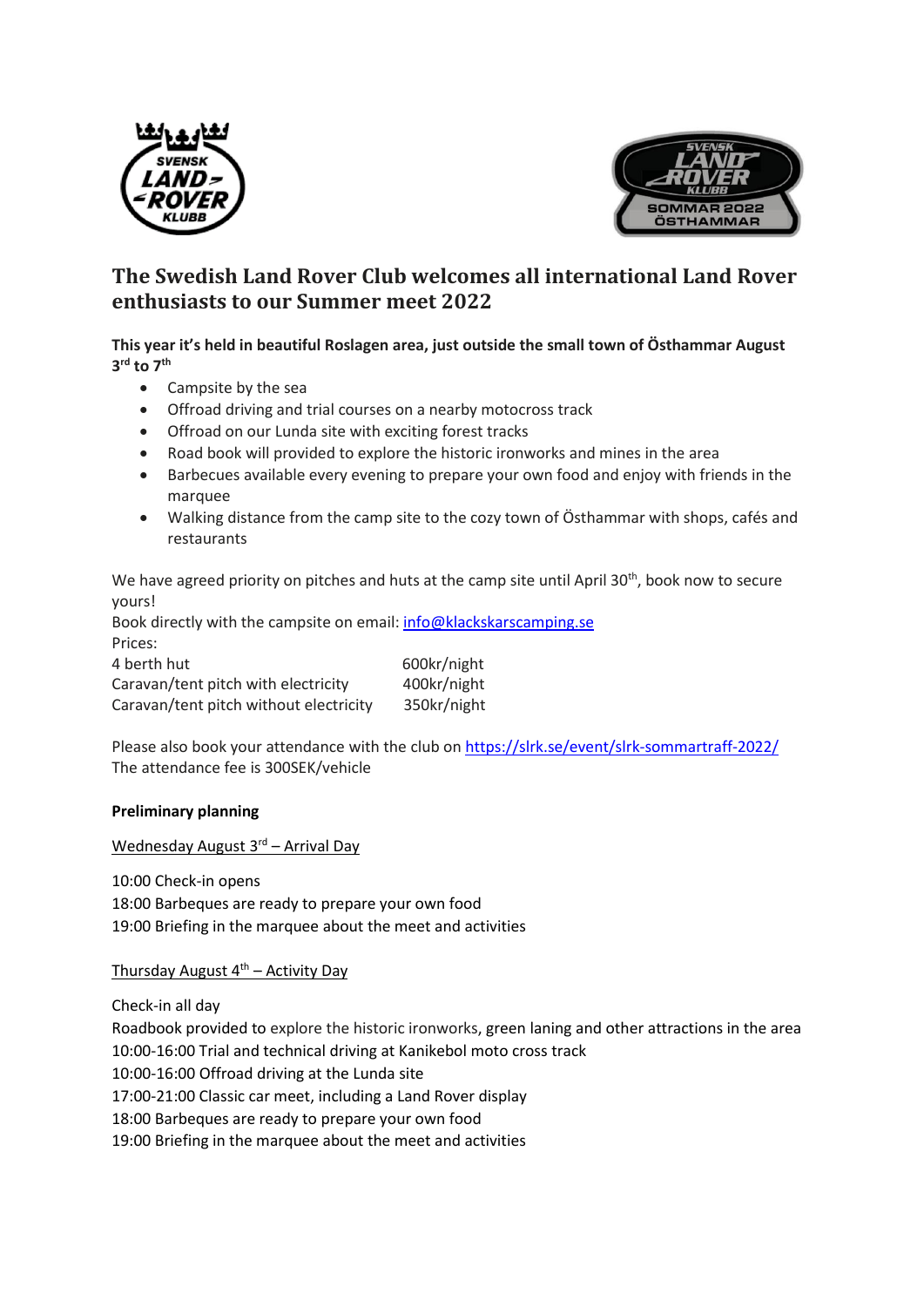



## **The Swedish Land Rover Club welcomes all international Land Rover enthusiasts to our Summer meet 2022**

**This year it's held in beautiful Roslagen area, just outside the small town of Östhammar August 3 rd to 7 th**

- Campsite by the sea
- Offroad driving and trial courses on a nearby motocross track
- Offroad on our Lunda site with exciting forest tracks
- Road book will provided to explore the historic ironworks and mines in the area
- Barbecues available every evening to prepare your own food and enjoy with friends in the marquee
- Walking distance from the camp site to the cozy town of Östhammar with shops, cafés and restaurants

We have agreed priority on pitches and huts at the camp site until April 30<sup>th</sup>, book now to secure yours!

Book directly with the campsite on email: [info@klackskarscamping.se](mailto:info@klackskarscamping.se) Prices:

| 4 berth hut                            | 600kr/night |
|----------------------------------------|-------------|
| Caravan/tent pitch with electricity    | 400kr/night |
| Caravan/tent pitch without electricity | 350kr/night |

Please also book your attendance with the club on <https://slrk.se/event/slrk-sommartraff-2022/> The attendance fee is 300SEK/vehicle

## **Preliminary planning**

Wednesday August 3<sup>rd</sup> – Arrival Day

10:00 Check-in opens 18:00 Barbeques are ready to prepare your own food 19:00 Briefing in the marquee about the meet and activities

Thursday August  $4<sup>th</sup>$  – Activity Day

Check-in all day

Roadbook provided to explore the historic ironworks, green laning and other attractions in the area 10:00-16:00 Trial and technical driving at Kanikebol moto cross track 10:00-16:00 Offroad driving at the Lunda site 17:00-21:00 Classic car meet, including a Land Rover display 18:00 Barbeques are ready to prepare your own food 19:00 Briefing in the marquee about the meet and activities